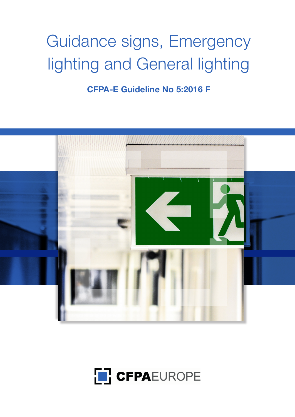# Guidance signs, Emergency lighting and General lighting

**CFPA-E Guideline No 5:2016 F**



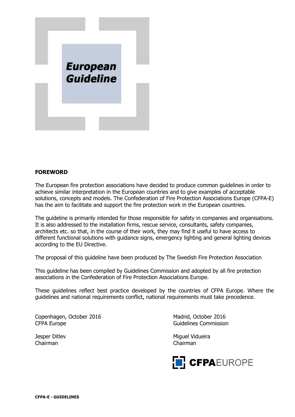

## **FOREWORD**

The European fire protection associations have decided to produce common guidelines in order to achieve similar interpretation in the European countries and to give examples of acceptable solutions, concepts and models. The Confederation of Fire Protection Associations Europe (CFPA-E) has the aim to facilitate and support the fire protection work in the European countries.

The guideline is primarily intended for those responsible for safety in companies and organisations. It is also addressed to the installation firms, rescue service, consultants, safety companies, architects etc. so that, in the course of their work, they may find it useful to have access to different functional solutions with guidance signs, emergency lighting and general lighting devices according to the EU Directive.

The proposal of this guideline have been produced by The Swedish Fire Protection Association

This guideline has been compiled by Guidelines Commission and adopted by all fire protection associations in the Confederation of Fire Protection Associations Europe.

These guidelines reflect best practice developed by the countries of CFPA Europe. Where the guidelines and national requirements conflict, national requirements must take precedence.

Copenhagen, October 2016 Madrid, October 2016 CFPA Europe **Guidelines** Commission

Chairman Chairman

Jesper Ditlev Miguel Vidueira

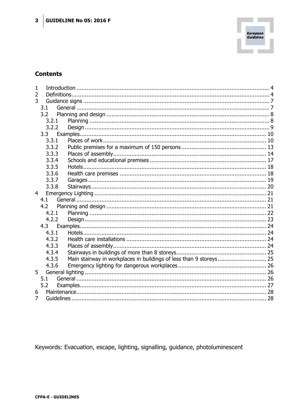

# **Contents**

| 1              |       |                                                                    |  |
|----------------|-------|--------------------------------------------------------------------|--|
| $\overline{2}$ |       |                                                                    |  |
| 3              |       |                                                                    |  |
|                | 3.1   |                                                                    |  |
|                | 3.2   |                                                                    |  |
|                | 3.2.1 |                                                                    |  |
|                | 3.2.2 |                                                                    |  |
|                | 3.3   |                                                                    |  |
|                | 3.3.1 |                                                                    |  |
|                | 3.3.2 |                                                                    |  |
|                | 3.3.3 |                                                                    |  |
|                | 3.3.4 |                                                                    |  |
|                | 3.3.5 |                                                                    |  |
|                | 3.3.6 |                                                                    |  |
|                | 3.3.7 |                                                                    |  |
|                | 3.3.8 |                                                                    |  |
| $\overline{4}$ |       |                                                                    |  |
|                | 4.1   |                                                                    |  |
|                | 4.2   |                                                                    |  |
|                | 4.2.1 |                                                                    |  |
|                | 4.2.2 |                                                                    |  |
|                | 4.3   |                                                                    |  |
|                | 4.3.1 |                                                                    |  |
|                | 4.3.2 |                                                                    |  |
|                | 4.3.3 |                                                                    |  |
|                | 4.3.4 |                                                                    |  |
|                | 4.3.5 | Main stairway in workplaces in buildings of less than 9 storeys 25 |  |
|                | 4.3.6 |                                                                    |  |
| 5              |       |                                                                    |  |
|                | 5.1   |                                                                    |  |
|                | 5.2   |                                                                    |  |
| 6              |       |                                                                    |  |
| 7              |       |                                                                    |  |

Keywords: Evacuation, escape, lighting, signalling, guidance, photoluminescent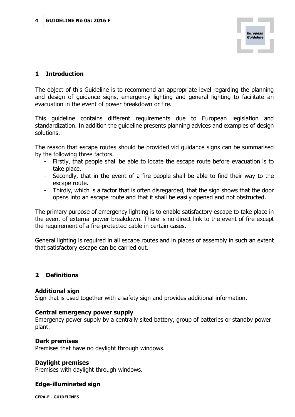## <span id="page-3-0"></span>**1 Introduction**

The object of this Guideline is to recommend an appropriate level regarding the planning and design of guidance signs, emergency lighting and general lighting to facilitate an evacuation in the event of power breakdown or fire.

This guideline contains different requirements due to European legislation and standardization. In addition the guideline presents planning advices and examples of design solutions.

The reason that escape routes should be provided vid guidance signs can be summarised by the following three factors.

- Firstly, that people shall be able to locate the escape route before evacuation is to take place.
- Secondly, that in the event of a fire people shall be able to find their way to the escape route.
- Thirdly, which is a factor that is often disregarded, that the sign shows that the door opens into an escape route and that it shall be easily opened and not obstructed.

The primary purpose of emergency lighting is to enable satisfactory escape to take place in the event of external power breakdown. There is no direct link to the event of fire except the requirement of a fire-protected cable in certain cases.

General lighting is required in all escape routes and in places of assembly in such an extent that satisfactory escape can be carried out.

## <span id="page-3-1"></span>**2 Definitions**

## **Additional sign**

Sign that is used together with a safety sign and provides additional information.

## **Central emergency power supply**

Emergency power supply by a centrally sited battery, group of batteries or standby power plant.

## **Dark premises**

Premises that have no daylight through windows.

## **Daylight premises**

Premises with daylight through windows.

## **Edge-illuminated sign**

**CFPA-E - GUIDELINES**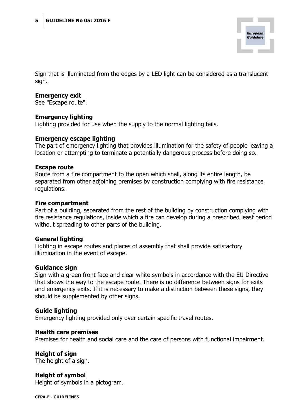

Sign that is illuminated from the edges by a LED light can be considered as a translucent sign.

#### **Emergency exit**

See "Escape route".

## **Emergency lighting**

Lighting provided for use when the supply to the normal lighting fails.

#### **Emergency escape lighting**

The part of emergency lighting that provides illumination for the safety of people leaving a location or attempting to terminate a potentially dangerous process before doing so.

#### **Escape route**

Route from a fire compartment to the open which shall, along its entire length, be separated from other adjoining premises by construction complying with fire resistance regulations.

#### **Fire compartment**

Part of a building, separated from the rest of the building by construction complying with fire resistance regulations, inside which a fire can develop during a prescribed least period without spreading to other parts of the building.

## **General lighting**

Lighting in escape routes and places of assembly that shall provide satisfactory illumination in the event of escape.

## **Guidance sign**

Sign with a green front face and clear white symbols in accordance with the EU Directive that shows the way to the escape route. There is no difference between signs for exits and emergency exits. If it is necessary to make a distinction between these signs, they should be supplemented by other signs.

## **Guide lighting**

Emergency lighting provided only over certain specific travel routes.

#### **Health care premises**

Premises for health and social care and the care of persons with functional impairment.

**Height of sign** The height of a sign.

**Height of symbol** Height of symbols in a pictogram.

**CFPA-E - GUIDELINES**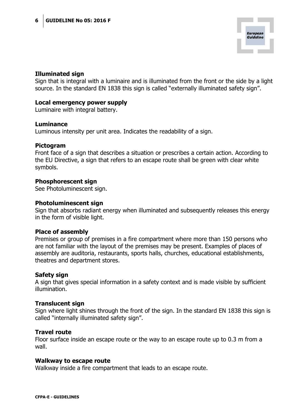## **Illuminated sign**

Sign that is integral with a luminaire and is illuminated from the front or the side by a light source. In the standard EN 1838 this sign is called "externally illuminated safety sign".

## **Local emergency power supply**

Luminaire with integral battery.

#### **Luminance**

Luminous intensity per unit area. Indicates the readability of a sign.

#### **Pictogram**

Front face of a sign that describes a situation or prescribes a certain action. According to the EU Directive, a sign that refers to an escape route shall be green with clear white symbols.

#### **Phosphorescent sign**

See Photoluminescent sign.

#### **Photoluminescent sign**

Sign that absorbs radiant energy when illuminated and subsequently releases this energy in the form of visible light.

## **Place of assembly**

Premises or group of premises in a fire compartment where more than 150 persons who are not familiar with the layout of the premises may be present. Examples of places of assembly are auditoria, restaurants, sports halls, churches, educational establishments, theatres and department stores.

## **Safety sign**

A sign that gives special information in a safety context and is made visible by sufficient illumination.

## **Translucent sign**

Sign where light shines through the front of the sign. In the standard EN 1838 this sign is called "internally illuminated safety sign".

#### **Travel route**

Floor surface inside an escape route or the way to an escape route up to 0.3 m from a wall.

#### **Walkway to escape route**

Walkway inside a fire compartment that leads to an escape route.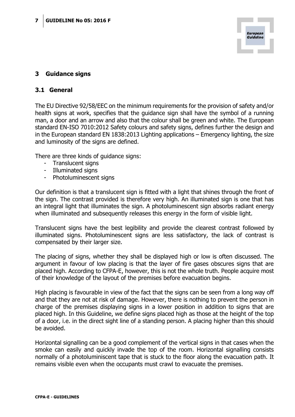

## <span id="page-6-0"></span>**3 Guidance signs**

## <span id="page-6-1"></span>**3.1 General**

The EU Directive 92/58/EEC on the minimum requirements for the provision of safety and/or health signs at work, specifies that the guidance sign shall have the symbol of a running man, a door and an arrow and also that the colour shall be green and white. The European standard EN-ISO 7010:2012 Safety colours and safety signs, defines further the design and in the European standard EN 1838:2013 Lighting applications – Emergency lighting, the size and luminosity of the signs are defined.

There are three kinds of guidance signs:

- Translucent signs
- Illuminated signs
- Photoluminescent signs

Our definition is that a translucent sign is fitted with a light that shines through the front of the sign. The contrast provided is therefore very high. An illuminated sign is one that has an integral light that illuminates the sign. A photoluminescent sign absorbs radiant energy when illuminated and subsequently releases this energy in the form of visible light.

Translucent signs have the best legibility and provide the clearest contrast followed by illuminated signs. Photoluminescent signs are less satisfactory, the lack of contrast is compensated by their larger size.

The placing of signs, whether they shall be displayed high or low is often discussed. The argument in favour of low placing is that the layer of fire gases obscures signs that are placed high. According to CFPA-E, however, this is not the whole truth. People acquire most of their knowledge of the layout of the premises before evacuation begins.

High placing is favourable in view of the fact that the signs can be seen from a long way off and that they are not at risk of damage. However, there is nothing to prevent the person in charge of the premises displaying signs in a lower position in addition to signs that are placed high. In this Guideline, we define signs placed high as those at the height of the top of a door, i.e. in the direct sight line of a standing person. A placing higher than this should be avoided.

Horizontal signalling can be a good complement of the vertical signs in that cases when the smoke can easily and quickly invade the top of the room. Horizontal signalling consists normally of a photoluminiscent tape that is stuck to the floor along the evacuation path. It remains visible even when the occupants must crawl to evacuate the premises.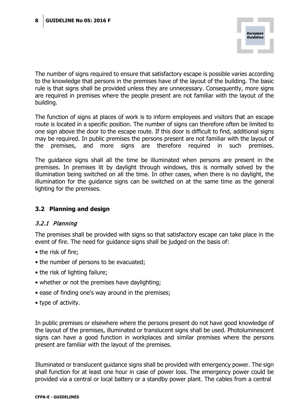The number of signs required to ensure that satisfactory escape is possible varies according to the knowledge that persons in the premises have of the layout of the building. The basic rule is that signs shall be provided unless they are unnecessary. Consequently, more signs are required in premises where the people present are not familiar with the layout of the building.

The function of signs at places of work is to inform employees and visitors that an escape route is located in a specific position. The number of signs can therefore often be limited to one sign above the door to the escape route. If this door is difficult to find, additional signs may be required. In public premises the persons present are not familiar with the layout of the premises, and more signs are therefore required in such premises.

The guidance signs shall all the time be illuminated when persons are present in the premises. In premises lit by daylight through windows, this is normally solved by the illumination being switched on all the time. In other cases, when there is no daylight, the illumination for the guidance signs can be switched on at the same time as the general lighting for the premises.

## <span id="page-7-0"></span>**3.2 Planning and design**

## <span id="page-7-1"></span>3.2.1 Planning

The premises shall be provided with signs so that satisfactory escape can take place in the event of fire. The need for guidance signs shall be judged on the basis of:

- the risk of fire;
- the number of persons to be evacuated;
- the risk of lighting failure;
- whether or not the premises have daylighting;
- ease of finding one's way around in the premises;
- type of activity.

In public premises or elsewhere where the persons present do not have good knowledge of the layout of the premises, illuminated or translucent signs shall be used. Photoluminescent signs can have a good function in workplaces and similar premises where the persons present are familiar with the layout of the premises.

Illuminated or translucent guidance signs shall be provided with emergency power. The sign shall function for at least one hour in case of power loss. The emergency power could be provided via a central or local battery or a standby power plant. The cables from a central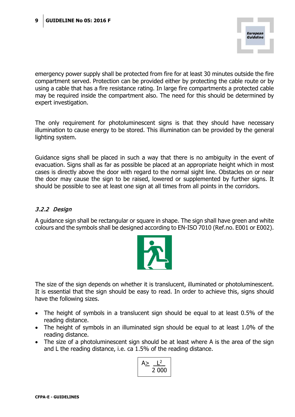emergency power supply shall be protected from fire for at least 30 minutes outside the fire compartment served. Protection can be provided either by protecting the cable route or by using a cable that has a fire resistance rating. In large fire compartments a protected cable may be required inside the compartment also. The need for this should be determined by expert investigation.

The only requirement for photoluminescent signs is that they should have necessary illumination to cause energy to be stored. This illumination can be provided by the general lighting system.

Guidance signs shall be placed in such a way that there is no ambiguity in the event of evacuation. Signs shall as far as possible be placed at an appropriate height which in most cases is directly above the door with regard to the normal sight line. Obstacles on or near the door may cause the sign to be raised, lowered or supplemented by further signs. It should be possible to see at least one sign at all times from all points in the corridors.

## <span id="page-8-0"></span>3.2.2 Design

A guidance sign shall be rectangular or square in shape. The sign shall have green and white colours and the symbols shall be designed according to EN-ISO 7010 (Ref.no. E001 or E002).



The size of the sign depends on whether it is translucent, illuminated or photoluminescent. It is essential that the sign should be easy to read. In order to achieve this, signs should have the following sizes.

- The height of symbols in a translucent sign should be equal to at least 0.5% of the reading distance.
- The height of symbols in an illuminated sign should be equal to at least 1.0% of the reading distance.
- The size of a photoluminescent sign should be at least where A is the area of the sign and L the reading distance, i.e. ca 1.5% of the reading distance.

$$
A \geq \frac{L^2}{2\,000}
$$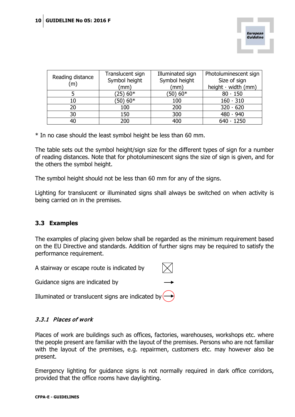

| Reading distance | Translucent sign | Illuminated sign | Photoluminescent sign     |
|------------------|------------------|------------------|---------------------------|
| (m)              | Symbol height    | Symbol height    | Size of sign              |
|                  | (mm)             | (mm              | height $\cdot$ width (mm) |
|                  | 25) 60*          | $(50)$ 60*       | $80 \cdot 150$            |
| 10               | $(50)$ 60*       | 100              | $160 \cdot 310$           |
| 20               | 100              | 200              | $320 \cdot 620$           |
| 30               | 150              | 300              | $480 \cdot 940$           |
| 40               | 200              | 400              | $640 \cdot 1250$          |

\* In no case should the least symbol height be less than 60 mm.

The table sets out the symbol height/sign size for the different types of sign for a number of reading distances. Note that for photoluminescent signs the size of sign is given, and for the others the symbol height.

The symbol height should not be less than 60 mm for any of the signs.

Lighting for translucent or illuminated signs shall always be switched on when activity is being carried on in the premises.

## <span id="page-9-0"></span>**3.3 Examples**

The examples of placing given below shall be regarded as the minimum requirement based on the EU Directive and standards. Addition of further signs may be required to satisfy the performance requirement.

A stairway or escape route is indicated by

Guidance signs are indicated by

Illuminated or translucent signs are indicated by

## <span id="page-9-1"></span>3.3.1 Places of work

Places of work are buildings such as offices, factories, warehouses, workshops etc. where the people present are familiar with the layout of the premises. Persons who are not familiar with the layout of the premises, e.g. repairmen, customers etc. may however also be present.

Emergency lighting for guidance signs is not normally required in dark office corridors, provided that the office rooms have daylighting.

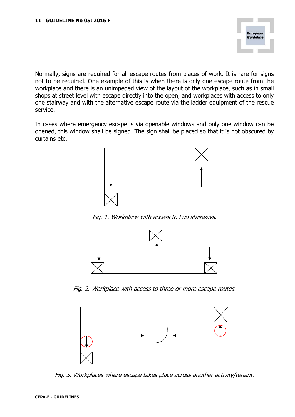

Normally, signs are required for all escape routes from places of work. It is rare for signs not to be required. One example of this is when there is only one escape route from the workplace and there is an unimpeded view of the layout of the workplace, such as in small shops at street level with escape directly into the open, and workplaces with access to only one stairway and with the alternative escape route via the ladder equipment of the rescue service.

In cases where emergency escape is via openable windows and only one window can be opened, this window shall be signed. The sign shall be placed so that it is not obscured by curtains etc.



Fig. 1. Workplace with access to two stairways.



Fig. 2. Workplace with access to three or more escape routes.



Fig. 3. Workplaces where escape takes place across another activity/tenant.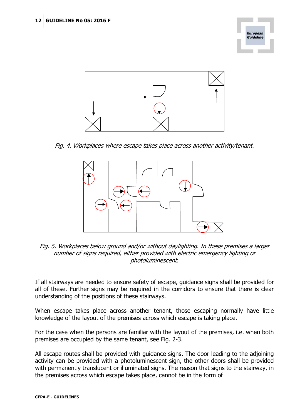



Fig. 4. Workplaces where escape takes place across another activity/tenant.



Fig. 5. Workplaces below ground and/or without daylighting. In these premises a larger number of signs required, either provided with electric emergency lighting or photoluminescent.

If all stairways are needed to ensure safety of escape, guidance signs shall be provided for all of these. Further signs may be required in the corridors to ensure that there is clear understanding of the positions of these stairways.

When escape takes place across another tenant, those escaping normally have little knowledge of the layout of the premises across which escape is taking place.

For the case when the persons are familiar with the layout of the premises, i.e. when both premises are occupied by the same tenant, see Fig. 2-3.

All escape routes shall be provided with guidance signs. The door leading to the adjoining activity can be provided with a photoluminescent sign, the other doors shall be provided with permanently translucent or illuminated signs. The reason that signs to the stairway, in the premises across which escape takes place, cannot be in the form of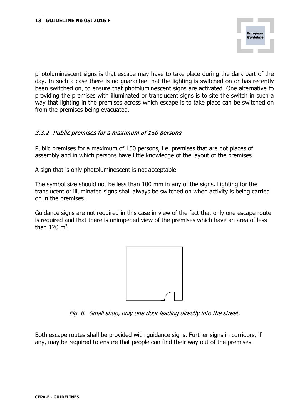photoluminescent signs is that escape may have to take place during the dark part of the day. In such a case there is no guarantee that the lighting is switched on or has recently been switched on, to ensure that photoluminescent signs are activated. One alternative to providing the premises with illuminated or translucent signs is to site the switch in such a way that lighting in the premises across which escape is to take place can be switched on from the premises being evacuated.

## <span id="page-12-0"></span>3.3.2 Public premises for a maximum of 150 persons

Public premises for a maximum of 150 persons, i.e. premises that are not places of assembly and in which persons have little knowledge of the layout of the premises.

A sign that is only photoluminescent is not acceptable.

The symbol size should not be less than 100 mm in any of the signs. Lighting for the translucent or illuminated signs shall always be switched on when activity is being carried on in the premises.

Guidance signs are not required in this case in view of the fact that only one escape route is required and that there is unimpeded view of the premises which have an area of less than  $120 \text{ m}^2$ .



Fig. 6. Small shop, only one door leading directly into the street.

Both escape routes shall be provided with guidance signs. Further signs in corridors, if any, may be required to ensure that people can find their way out of the premises.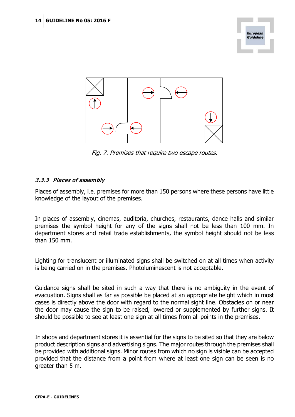

Fig. 7. Premises that require two escape routes.

## <span id="page-13-0"></span>3.3.3 Places of assembly

Places of assembly, i.e. premises for more than 150 persons where these persons have little knowledge of the layout of the premises.

In places of assembly, cinemas, auditoria, churches, restaurants, dance halls and similar premises the symbol height for any of the signs shall not be less than 100 mm. In department stores and retail trade establishments, the symbol height should not be less than 150 mm.

Lighting for translucent or illuminated signs shall be switched on at all times when activity is being carried on in the premises. Photoluminescent is not acceptable.

Guidance signs shall be sited in such a way that there is no ambiguity in the event of evacuation. Signs shall as far as possible be placed at an appropriate height which in most cases is directly above the door with regard to the normal sight line. Obstacles on or near the door may cause the sign to be raised, lowered or supplemented by further signs. It should be possible to see at least one sign at all times from all points in the premises.

In shops and department stores it is essential for the signs to be sited so that they are below product description signs and advertising signs. The major routes through the premises shall be provided with additional signs. Minor routes from which no sign is visible can be accepted provided that the distance from a point from where at least one sign can be seen is no greater than 5 m.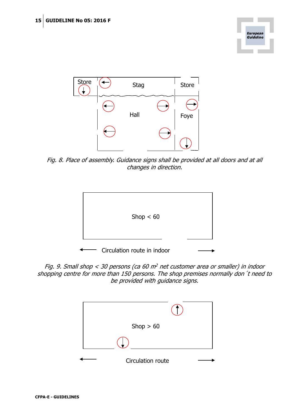



Fig. 8. Place of assembly. Guidance signs shall be provided at all doors and at all changes in direction.



Fig. 9. Small shop  $<$  30 persons (ca 60 m<sup>2</sup> net customer area or smaller) in indoor shopping centre for more than 150 persons. The shop premises normally don´t need to be provided with guidance signs.

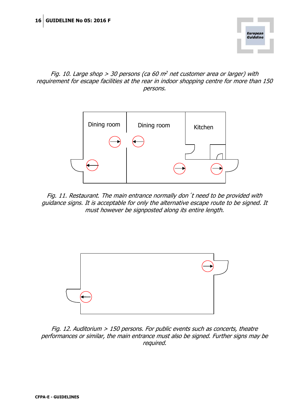

## Fig. 10. Large shop  $> 30$  persons (ca 60 m<sup>2</sup> net customer area or larger) with requirement for escape facilities at the rear in indoor shopping centre for more than 150 persons.



Fig. 11. Restaurant. The main entrance normally don´t need to be provided with guidance signs. It is acceptable for only the alternative escape route to be signed. It must however be signposted along its entire length.



Fig. 12. Auditorium > 150 persons. For public events such as concerts, theatre performances or similar, the main entrance must also be signed. Further signs may be required.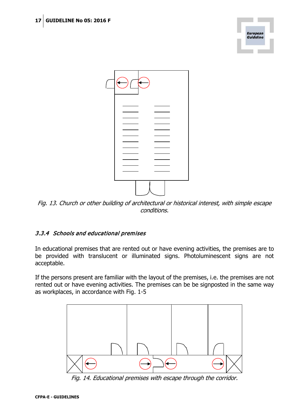|            | European<br>Guideline |
|------------|-----------------------|
|            |                       |
|            |                       |
|            |                       |
| -<br><br>— |                       |
|            |                       |
|            |                       |

Fig. 13. Church or other building of architectural or historical interest, with simple escape conditions.

# <span id="page-16-0"></span>3.3.4 Schools and educational premises

In educational premises that are rented out or have evening activities, the premises are to be provided with translucent or illuminated signs. Photoluminescent signs are not acceptable.

If the persons present are familiar with the layout of the premises, i.e. the premises are not rented out or have evening activities. The premises can be be signposted in the same way as workplaces, in accordance with Fig. 1-5



Fig. 14. Educational premises with escape through the corridor.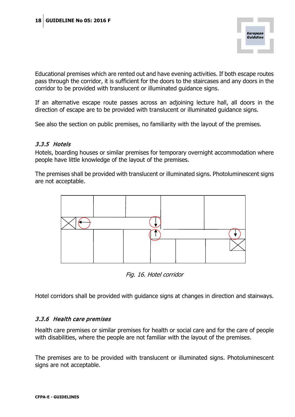Educational premises which are rented out and have evening activities. If both escape routes pass through the corridor, it is sufficient for the doors to the staircases and any doors in the corridor to be provided with translucent or illuminated guidance signs.

If an alternative escape route passes across an adjoining lecture hall, all doors in the direction of escape are to be provided with translucent or illuminated guidance signs.

See also the section on public premises, no familiarity with the layout of the premises.

## <span id="page-17-0"></span>3.3.5 Hotels

Hotels, boarding houses or similar premises for temporary overnight accommodation where people have little knowledge of the layout of the premises.

The premises shall be provided with translucent or illuminated signs. Photoluminescent signs are not acceptable.



Fig. 16. Hotel corridor

Hotel corridors shall be provided with guidance signs at changes in direction and stairways.

## <span id="page-17-1"></span>3.3.6 Health care premises

Health care premises or similar premises for health or social care and for the care of people with disabilities, where the people are not familiar with the layout of the premises.

The premises are to be provided with translucent or illuminated signs. Photoluminescent signs are not acceptable.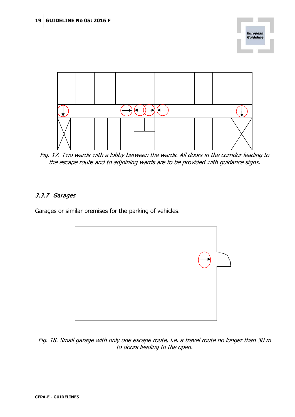



Fig. 17. Two wards with a lobby between the wards. All doors in the corridor leading to the escape route and to adjoining wards are to be provided with guidance signs.

# <span id="page-18-0"></span>3.3.7 Garages

Garages or similar premises for the parking of vehicles.



Fig. 18. Small garage with only one escape route, i.e. a travel route no longer than 30 m to doors leading to the open.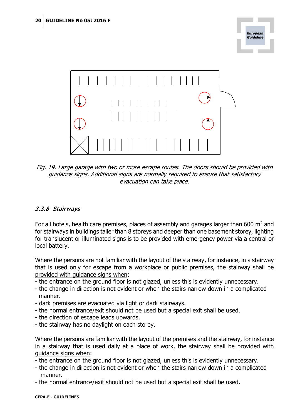

Guideline

Fig. 19. Large garage with two or more escape routes. The doors should be provided with guidance signs. Additional signs are normally required to ensure that satisfactory evacuation can take place.

# <span id="page-19-0"></span>3.3.8 Stairways

For all hotels, health care premises, places of assembly and garages larger than 600 m<sup>2</sup> and for stairways in buildings taller than 8 storeys and deeper than one basement storey, lighting for translucent or illuminated signs is to be provided with emergency power via a central or local battery.

Where the persons are not familiar with the layout of the stairway, for instance, in a stairway that is used only for escape from a workplace or public premises, the stairway shall be provided with guidance signs when:

- the entrance on the ground floor is not glazed, unless this is evidently unnecessary.
- the change in direction is not evident or when the stairs narrow down in a complicated manner.
- dark premises are evacuated via light or dark stairways.
- the normal entrance/exit should not be used but a special exit shall be used.
- the direction of escape leads upwards.
- the stairway has no daylight on each storey.

Where the persons are familiar with the layout of the premises and the stairway, for instance in a stairway that is used daily at a place of work, the stairway shall be provided with guidance signs when:

- the entrance on the ground floor is not glazed, unless this is evidently unnecessary.

- the change in direction is not evident or when the stairs narrow down in a complicated manner.
- the normal entrance/exit should not be used but a special exit shall be used.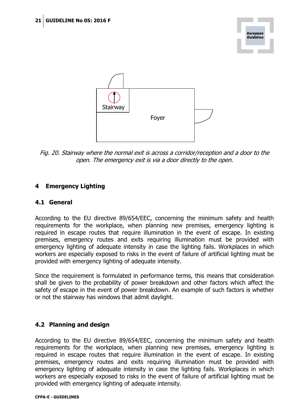



Fig. 20. Stairway where the normal exit is across a corridor/reception and a door to the open. The emergency exit is via a door directly to the open.

# <span id="page-20-0"></span>**4 Emergency Lighting**

## <span id="page-20-1"></span>**4.1 General**

According to the EU directive 89/654/EEC, concerning the minimum safety and health requirements for the workplace, when planning new premises, emergency lighting is required in escape routes that require illumination in the event of escape. In existing premises, emergency routes and exits requiring illumination must be provided with emergency lighting of adequate intensity in case the lighting fails. Workplaces in which workers are especially exposed to risks in the event of failure of artificial lighting must be provided with emergency lighting of adequate intensity.

Since the requirement is formulated in performance terms, this means that consideration shall be given to the probability of power breakdown and other factors which affect the safety of escape in the event of power breakdown. An example of such factors is whether or not the stairway has windows that admit daylight.

## <span id="page-20-2"></span>**4.2 Planning and design**

According to the EU directive 89/654/EEC, concerning the minimum safety and health requirements for the workplace, when planning new premises, emergency lighting is required in escape routes that require illumination in the event of escape. In existing premises, emergency routes and exits requiring illumination must be provided with emergency lighting of adequate intensity in case the lighting fails. Workplaces in which workers are especially exposed to risks in the event of failure of artificial lighting must be provided with emergency lighting of adequate intensity.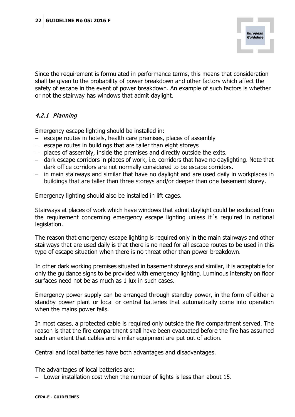Since the requirement is formulated in performance terms, this means that consideration shall be given to the probability of power breakdown and other factors which affect the safety of escape in the event of power breakdown. An example of such factors is whether or not the stairway has windows that admit daylight.

## <span id="page-21-0"></span>4.2.1 Planning

Emergency escape lighting should be installed in:

- − escape routes in hotels, health care premises, places of assembly
- − escape routes in buildings that are taller than eight storeys
- − places of assembly, inside the premises and directly outside the exits.
- − dark escape corridors in places of work, i.e. corridors that have no daylighting. Note that dark office corridors are not normally considered to be escape corridors.
- − in main stairways and similar that have no daylight and are used daily in workplaces in buildings that are taller than three storeys and/or deeper than one basement storey.

Emergency lighting should also be installed in lift cages.

Stairways at places of work which have windows that admit daylight could be excluded from the requirement concerning emergency escape lighting unless it´s required in national legislation.

The reason that emergency escape lighting is required only in the main stairways and other stairways that are used daily is that there is no need for all escape routes to be used in this type of escape situation when there is no threat other than power breakdown.

In other dark working premises situated in basement storeys and similar, it is acceptable for only the guidance signs to be provided with emergency lighting. Luminous intensity on floor surfaces need not be as much as 1 lux in such cases.

Emergency power supply can be arranged through standby power, in the form of either a standby power plant or local or central batteries that automatically come into operation when the mains power fails.

In most cases, a protected cable is required only outside the fire compartment served. The reason is that the fire compartment shall have been evacuated before the fire has assumed such an extent that cables and similar equipment are put out of action.

Central and local batteries have both advantages and disadvantages.

The advantages of local batteries are:

− Lower installation cost when the number of lights is less than about 15.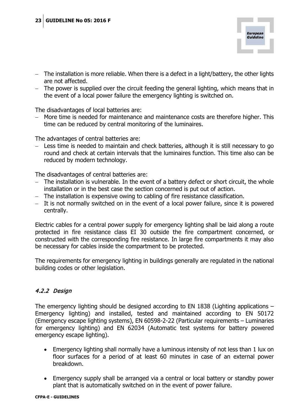- − The installation is more reliable. When there is a defect in a light/battery, the other lights are not affected.
- − The power is supplied over the circuit feeding the general lighting, which means that in the event of a local power failure the emergency lighting is switched on.

The disadvantages of local batteries are:

− More time is needed for maintenance and maintenance costs are therefore higher. This time can be reduced by central monitoring of the luminaires.

The advantages of central batteries are:

− Less time is needed to maintain and check batteries, although it is still necessary to go round and check at certain intervals that the luminaires function. This time also can be reduced by modern technology.

The disadvantages of central batteries are:

- − The installation is vulnerable. In the event of a battery defect or short circuit, the whole installation or in the best case the section concerned is put out of action.
- − The installation is expensive owing to cabling of fire resistance classification.
- − It is not normally switched on in the event of a local power failure, since it is powered centrally.

Electric cables for a central power supply for emergency lighting shall be laid along a route protected in fire resistance class EI 30 outside the fire compartment concerned, or constructed with the corresponding fire resistance. In large fire compartments it may also be necessary for cables inside the compartment to be protected.

The requirements for emergency lighting in buildings generally are regulated in the national building codes or other legislation.

# <span id="page-22-0"></span>4.2.2 Design

The emergency lighting should be designed according to EN 1838 (Lighting applications – Emergency lighting) and installed, tested and maintained according to EN 50172 (Emergency escape lighting systems), EN 60598-2-22 (Particular requirements – Luminaries for emergency lighting) and EN 62034 (Automatic test systems for battery powered emergency escape lighting).

- Emergency lighting shall normally have a luminous intensity of not less than 1 lux on floor surfaces for a period of at least 60 minutes in case of an external power breakdown.
- Emergency supply shall be arranged via a central or local battery or standby power plant that is automatically switched on in the event of power failure.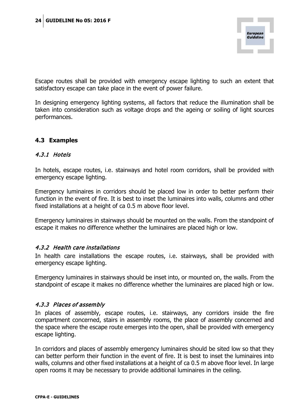Escape routes shall be provided with emergency escape lighting to such an extent that satisfactory escape can take place in the event of power failure.

In designing emergency lighting systems, all factors that reduce the illumination shall be taken into consideration such as voltage drops and the ageing or soiling of light sources performances.

# <span id="page-23-0"></span>**4.3 Examples**

## <span id="page-23-1"></span>4.3.1 Hotels

In hotels, escape routes, i.e. stairways and hotel room corridors, shall be provided with emergency escape lighting.

Emergency luminaires in corridors should be placed low in order to better perform their function in the event of fire. It is best to inset the luminaires into walls, columns and other fixed installations at a height of ca 0.5 m above floor level.

Emergency luminaires in stairways should be mounted on the walls. From the standpoint of escape it makes no difference whether the luminaires are placed high or low.

## <span id="page-23-2"></span>4.3.2 Health care installations

In health care installations the escape routes, i.e. stairways, shall be provided with emergency escape lighting.

Emergency luminaires in stairways should be inset into, or mounted on, the walls. From the standpoint of escape it makes no difference whether the luminaires are placed high or low.

## <span id="page-23-3"></span>4.3.3 Places of assembly

In places of assembly, escape routes, i.e. stairways, any corridors inside the fire compartment concerned, stairs in assembly rooms, the place of assembly concerned and the space where the escape route emerges into the open, shall be provided with emergency escape lighting.

In corridors and places of assembly emergency luminaires should be sited low so that they can better perform their function in the event of fire. It is best to inset the luminaires into walls, columns and other fixed installations at a height of ca 0.5 m above floor level. In large open rooms it may be necessary to provide additional luminaires in the ceiling.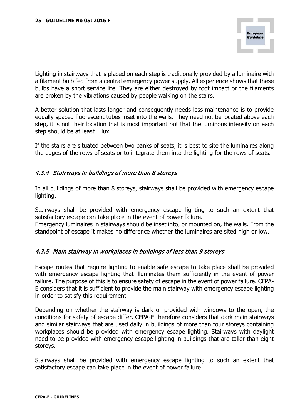Lighting in stairways that is placed on each step is traditionally provided by a luminaire with a filament bulb fed from a central emergency power supply. All experience shows that these bulbs have a short service life. They are either destroyed by foot impact or the filaments are broken by the vibrations caused by people walking on the stairs.

A better solution that lasts longer and consequently needs less maintenance is to provide equally spaced fluorescent tubes inset into the walls. They need not be located above each step, it is not their location that is most important but that the luminous intensity on each step should be at least 1 lux.

If the stairs are situated between two banks of seats, it is best to site the luminaires along the edges of the rows of seats or to integrate them into the lighting for the rows of seats.

## <span id="page-24-0"></span>4.3.4 Stairways in buildings of more than 8 storeys

In all buildings of more than 8 storeys, stairways shall be provided with emergency escape lighting.

Stairways shall be provided with emergency escape lighting to such an extent that satisfactory escape can take place in the event of power failure.

Emergency luminaires in stairways should be inset into, or mounted on, the walls. From the standpoint of escape it makes no difference whether the luminaires are sited high or low.

## <span id="page-24-1"></span>4.3.5 Main stairway in workplaces in buildings of less than 9 storeys

Escape routes that require lighting to enable safe escape to take place shall be provided with emergency escape lighting that illuminates them sufficiently in the event of power failure. The purpose of this is to ensure safety of escape in the event of power failure. CFPA-E considers that it is sufficient to provide the main stairway with emergency escape lighting in order to satisfy this requirement.

Depending on whether the stairway is dark or provided with windows to the open, the conditions for safety of escape differ. CFPA-E therefore considers that dark main stairways and similar stairways that are used daily in buildings of more than four storeys containing workplaces should be provided with emergency escape lighting. Stairways with daylight need to be provided with emergency escape lighting in buildings that are taller than eight storeys.

Stairways shall be provided with emergency escape lighting to such an extent that satisfactory escape can take place in the event of power failure.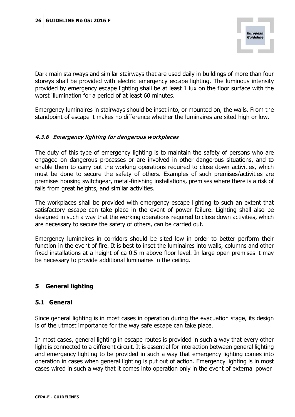Dark main stairways and similar stairways that are used daily in buildings of more than four storeys shall be provided with electric emergency escape lighting. The luminous intensity provided by emergency escape lighting shall be at least 1 lux on the floor surface with the worst illumination for a period of at least 60 minutes.

Emergency luminaires in stairways should be inset into, or mounted on, the walls. From the standpoint of escape it makes no difference whether the luminaires are sited high or low.

## <span id="page-25-0"></span>4.3.6 Emergency lighting for dangerous workplaces

The duty of this type of emergency lighting is to maintain the safety of persons who are engaged on dangerous processes or are involved in other dangerous situations, and to enable them to carry out the working operations required to close down activities, which must be done to secure the safety of others. Examples of such premises/activities are premises housing switchgear, metal-finishing installations, premises where there is a risk of falls from great heights, and similar activities.

The workplaces shall be provided with emergency escape lighting to such an extent that satisfactory escape can take place in the event of power failure. Lighting shall also be designed in such a way that the working operations required to close down activities, which are necessary to secure the safety of others, can be carried out.

Emergency luminaires in corridors should be sited low in order to better perform their function in the event of fire. It is best to inset the luminaires into walls, columns and other fixed installations at a height of ca 0.5 m above floor level. In large open premises it may be necessary to provide additional luminaires in the ceiling.

## <span id="page-25-1"></span>**5 General lighting**

## <span id="page-25-2"></span>**5.1 General**

Since general lighting is in most cases in operation during the evacuation stage, its design is of the utmost importance for the way safe escape can take place.

In most cases, general lighting in escape routes is provided in such a way that every other light is connected to a different circuit. It is essential for interaction between general lighting and emergency lighting to be provided in such a way that emergency lighting comes into operation in cases when general lighting is put out of action. Emergency lighting is in most cases wired in such a way that it comes into operation only in the event of external power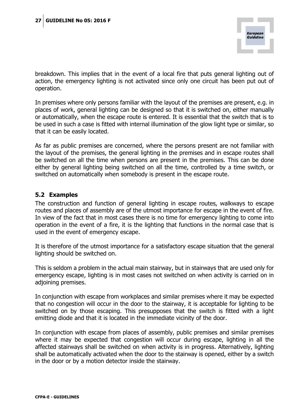breakdown. This implies that in the event of a local fire that puts general lighting out of action, the emergency lighting is not activated since only one circuit has been put out of operation.

In premises where only persons familiar with the layout of the premises are present, e.g. in places of work, general lighting can be designed so that it is switched on, either manually or automatically, when the escape route is entered. It is essential that the switch that is to be used in such a case is fitted with internal illumination of the glow light type or similar, so that it can be easily located.

As far as public premises are concerned, where the persons present are not familiar with the layout of the premises, the general lighting in the premises and in escape routes shall be switched on all the time when persons are present in the premises. This can be done either by general lighting being switched on all the time, controlled by a time switch, or switched on automatically when somebody is present in the escape route.

## <span id="page-26-0"></span>**5.2 Examples**

The construction and function of general lighting in escape routes, walkways to escape routes and places of assembly are of the utmost importance for escape in the event of fire. In view of the fact that in most cases there is no time for emergency lighting to come into operation in the event of a fire, it is the lighting that functions in the normal case that is used in the event of emergency escape.

It is therefore of the utmost importance for a satisfactory escape situation that the general lighting should be switched on.

This is seldom a problem in the actual main stairway, but in stairways that are used only for emergency escape, lighting is in most cases not switched on when activity is carried on in adjoining premises.

In conjunction with escape from workplaces and similar premises where it may be expected that no congestion will occur in the door to the stairway, it is acceptable for lighting to be switched on by those escaping. This presupposes that the switch is fitted with a light emitting diode and that it is located in the immediate vicinity of the door.

In conjunction with escape from places of assembly, public premises and similar premises where it may be expected that congestion will occur during escape, lighting in all the affected stairways shall be switched on when activity is in progress. Alternatively, lighting shall be automatically activated when the door to the stairway is opened, either by a switch in the door or by a motion detector inside the stairway.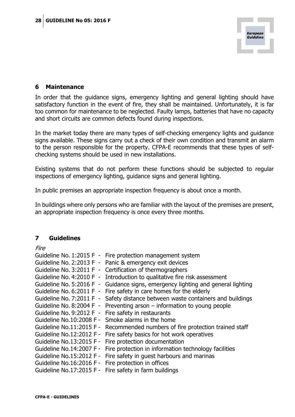

## <span id="page-27-0"></span>**6 Maintenance**

In order that the guidance signs, emergency lighting and general lighting should have satisfactory function in the event of fire, they shall be maintained. Unfortunately, it is far too common for maintenance to be neglected. Faulty lamps, batteries that have no capacity and short circuits are common defects found during inspections.

In the market today there are many types of self-checking emergency lights and guidance signs available. These signs carry out a check of their own condition and transmit an alarm to the person responsible for the property. CFPA-E recommends that these types of selfchecking systems should be used in new installations.

Existing systems that do not perform these functions should be subjected to regular inspections of emergency lighting, guidance signs and general lighting.

In public premises an appropriate inspection frequency is about once a month.

In buildings where only persons who are familiar with the layout of the premises are present, an appropriate inspection frequency is once every three months.

## <span id="page-27-1"></span>**7 Guidelines**

Fire

| Guideline No. 1:2015 F -        | Fire protection management system                       |
|---------------------------------|---------------------------------------------------------|
| Guideline No. 2:2013 F -        | Panic & emergency exit devices                          |
| Guideline No. 3:2011 F -        | Certification of thermographers                         |
| Guideline No. 4:2010 F -        | Introduction to qualitative fire risk assessment        |
| Guideline No. 5:2016 F -        | Guidance signs, emergency lighting and general lighting |
| Guideline No. 6:2011 F -        | Fire safety in care homes for the elderly               |
| Guideline No. 7:2011 F -        | Safety distance between waste containers and buildings  |
| Guideline No. 8:2004 F -        | Preventing arson $-$ information to young people        |
| Guideline No. 9:2012 F -        | Fire safety in restaurants                              |
| Guideline No.10:2008 F -        | Smoke alarms in the home                                |
| Guideline No.11:2015 F -        | Recommended numbers of fire protection trained staff    |
| <b>Guideline No.12:2012 F -</b> | Fire safety basics for hot work operatives              |
| Guideline No.13:2015 F -        | Fire protection documentation                           |
| Guideline No.14:2007 F -        | Fire protection in information technology facilities    |
| Guideline No.15:2012 F -        | Fire safety in guest harbours and marinas               |
| Guideline No.16:2016 F -        | Fire protection in offices                              |
|                                 | Guideline No.17:2015 F - Fire safety in farm buildings  |
|                                 |                                                         |